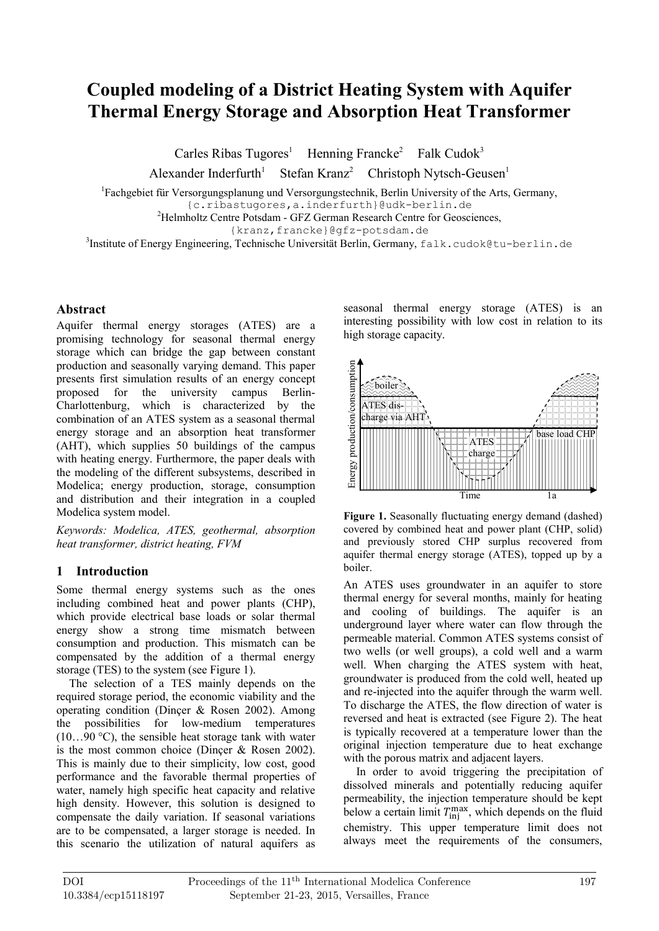# **Coupled modeling of a District Heating System with Aquifer Thermal Energy Storage and Absorption Heat Transformer**

Carles Ribas Tugores<sup>1</sup> Henning Francke<sup>2</sup> Falk Cudok<sup>3</sup>

Alexander Inderfurth<sup>1</sup> Stefan Kranz<sup>2</sup>  $Christoph Nytsch-Geusen<sup>1</sup>$ 

<sup>1</sup>Fachgebiet für Versorgungsplanung und Versorgungstechnik, Berlin University of the Arts, Germany,

{c.ribastugores,a.inderfurth}@udk-berlin.de

<sup>2</sup>Helmholtz Centre Potsdam - GFZ German Research Centre for Geosciences,

{kranz,francke}@gfz-potsdam.de

 $^3$ Institute of Energy Engineering, Technische Universität Berlin, Germany, falk.cudok@tu-berlin.de

#### **Abstract**

Aquifer thermal energy storages (ATES) are a promising technology for seasonal thermal energy storage which can bridge the gap between constant production and seasonally varying demand. This paper presents first simulation results of an energy concept<br>proposed for the university campus Berlinproposed for the university campus Charlottenburg, which is characterized by the combination of an ATES system as a seasonal thermal energy storage and an absorption heat transformer (AHT), which supplies 50 buildings of the campus with heating energy. Furthermore, the paper deals with the modeling of the different subsystems, described in Modelica; energy production, storage, consumption and distribution and their integration in a coupled Modelica system model.

*Keywords: Modelica, ATES, geothermal, absorption heat transformer, district heating, FVM*

## **1 Introduction**

Some thermal energy systems such as the ones including combined heat and power plants (CHP), which provide electrical base loads or solar thermal energy show a strong time mismatch between consumption and production. This mismatch can be compensated by the addition of a thermal energy storage (TES) to the system (see Figure 1).

The selection of a TES mainly depends on the required storage period, the economic viability and the operating condition (Dinçer & Rosen 2002). Among the possibilities for low-medium temperatures  $(10...90 \degree C)$ , the sensible heat storage tank with water is the most common choice (Dinçer & Rosen 2002). This is mainly due to their simplicity, low cost, good performance and the favorable thermal properties of water, namely high specific heat capacity and relative high density. However, this solution is designed to compensate the daily variation. If seasonal variations are to be compensated, a larger storage is needed. In this scenario the utilization of natural aquifers as

seasonal thermal energy storage (ATES) is an interesting possibility with low cost in relation to its high storage capacity.



Figure 1. Seasonally fluctuating energy demand (dashed) covered by combined heat and power plant (CHP, solid) and previously stored CHP surplus recovered from aquifer thermal energy storage (ATES), topped up by a boiler.

An ATES uses groundwater in an aquifer to store thermal energy for several months, mainly for heating and cooling of buildings. The aquifer is an underground layer where water can flow through the permeable material. Common ATES systems consist of two wells (or well groups), a cold well and a warm well. When charging the ATES system with heat, groundwater is produced from the cold well, heated up and re-injected into the aquifer through the warm well. To discharge the ATES, the flow direction of water is reversed and heat is extracted (see Figure 2). The heat is typically recovered at a temperature lower than the original injection temperature due to heat exchange with the porous matrix and adjacent layers.

In order to avoid triggering the precipitation of dissolved minerals and potentially reducing aquifer permeability, the injection temperature should be kept below a certain limit  $T_{\text{inj}}^{\text{max}}$ , which depends on the fluid chemistry. This upper temperature limit does not always meet the requirements of the consumers,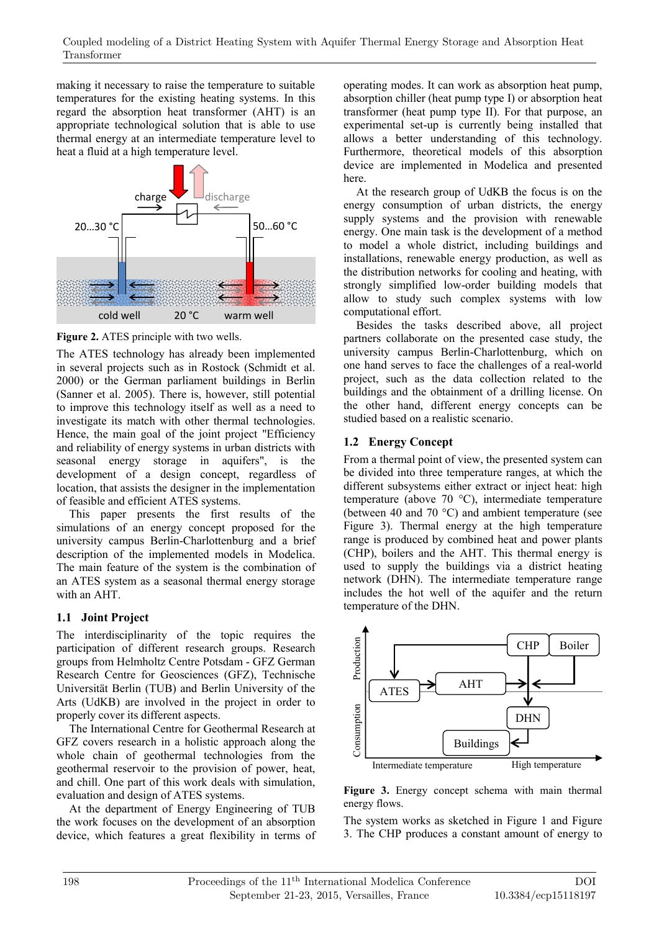making it necessary to raise the temperature to suitable temperatures for the existing heating systems. In this regard the absorption heat transformer (AHT) is an appropriate technological solution that is able to use thermal energy at an intermediate temperature level to heat a fluid at a high temperature level.



**Figure 2.** ATES principle with two wells.

The ATES technology has already been implemented in several projects such as in Rostock (Schmidt et al. 2000) or the German parliament buildings in Berlin (Sanner et al. 2005). There is, however, still potential to improve this technology itself as well as a need to investigate its match with other thermal technologies. Hence, the main goal of the joint project "Efficiency and reliability of energy systems in urban districts with seasonal energy storage in aquifers", is the development of a design concept, regardless of location, that assists the designer in the implementation of feasible and efficient ATES systems.

This paper presents the first results of the simulations of an energy concept proposed for the university campus Berlin-Charlottenburg and a brief description of the implemented models in Modelica. The main feature of the system is the combination of an ATES system as a seasonal thermal energy storage with an AHT.

## **1.1 Joint Project**

The interdisciplinarity of the topic requires the participation of different research groups. Research groups from Helmholtz Centre Potsdam - GFZ German Research Centre for Geosciences (GFZ), Technische Universität Berlin (TUB) and Berlin University of the Arts (UdKB) are involved in the project in order to properly cover its different aspects.

The International Centre for Geothermal Research at GFZ covers research in a holistic approach along the whole chain of geothermal technologies from the geothermal reservoir to the provision of power, heat, and chill. One part of this work deals with simulation, evaluation and design of ATES systems.

At the department of Energy Engineering of TUB the work focuses on the development of an absorption device, which features a great flexibility in terms of operating modes. It can work as absorption heat pump, absorption chiller (heat pump type I) or absorption heat transformer (heat pump type II). For that purpose, an experimental set-up is currently being installed that allows a better understanding of this technology. Furthermore, theoretical models of this absorption device are implemented in Modelica and presented here.

At the research group of UdKB the focus is on the energy consumption of urban districts, the energy supply systems and the provision with renewable energy. One main task is the development of a method to model a whole district, including buildings and installations, renewable energy production, as well as the distribution networks for cooling and heating, with strongly simplified low-order building models that allow to study such complex systems with low computational effort.

Besides the tasks described above, all project partners collaborate on the presented case study, the university campus Berlin-Charlottenburg, which on one hand serves to face the challenges of a real-world project, such as the data collection related to the buildings and the obtainment of a drilling license. On the other hand, different energy concepts can be studied based on a realistic scenario.

## **1.2 Energy Concept**

From a thermal point of view, the presented system can be divided into three temperature ranges, at which the different subsystems either extract or inject heat: high temperature (above 70 °C), intermediate temperature (between 40 and 70 °C) and ambient temperature (see Figure 3). Thermal energy at the high temperature range is produced by combined heat and power plants (CHP), boilers and the AHT. This thermal energy is used to supply the buildings via a district heating network (DHN). The intermediate temperature range includes the hot well of the aquifer and the return temperature of the DHN.



**Figure 3.** Energy concept schema with main thermal energy flows.

The system works as sketched in Figure 1 and Figure 3. The CHP produces a constant amount of energy to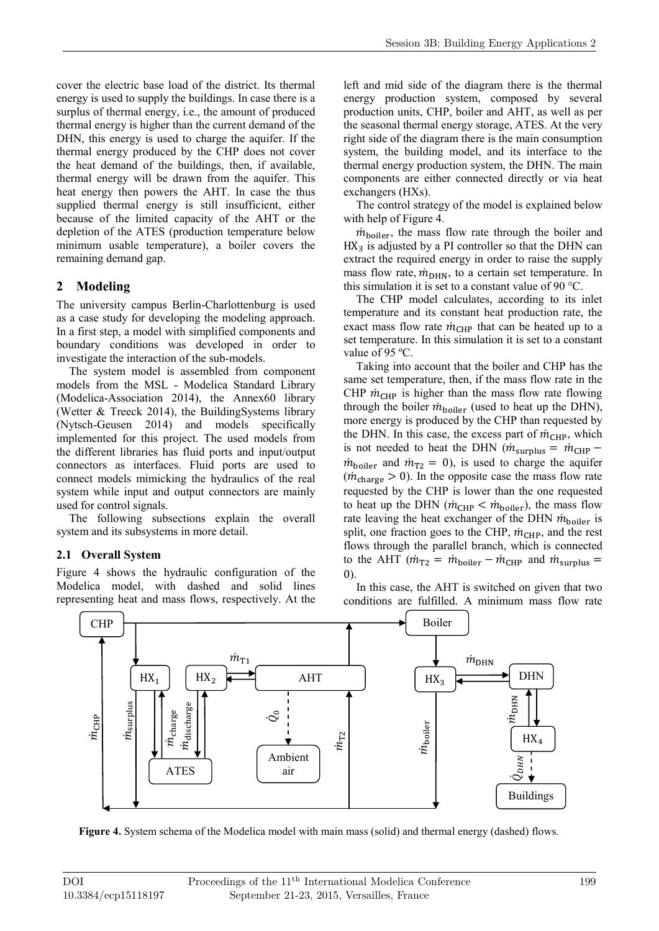cover the electric base load of the district. Its thermal energy is used to supply the buildings. In case there is a surplus of thermal energy, i.e., the amount of produced thermal energy is higher than the current demand of the DHN, this energy is used to charge the aquifer. If the thermal energy produced by the CHP does not cover the heat demand of the buildings, then, if available, thermal energy will be drawn from the aquifer. This heat energy then powers the AHT. In case the thus supplied thermal energy is still insufficient, either because of the limited capacity of the AHT or the depletion of the ATES (production temperature below minimum usable temperature), a boiler covers the remaining demand gap.

## **2 Modeling**

The university campus Berlin-Charlottenburg is used as a case study for developing the modeling approach. In a first step, a model with simplified components and boundary conditions was developed in order to investigate the interaction of the sub-models.

The system model is assembled from component models from the MSL - Modelica Standard Library (Modelica-Association 2014), the Annex60 library (Wetter & Treeck 2014), the BuildingSystems library (Nytsch-Geusen 2014) and models specifically implemented for this project. The used models from the different libraries has fluid ports and input/output connectors as interfaces. Fluid ports are used to connect models mimicking the hydraulics of the real system while input and output connectors are mainly used for control signals.

The following subsections explain the overall system and its subsystems in more detail.

## **2.1 Overall System**

Figure 4 shows the hydraulic configuration of the Modelica model, with dashed and solid lines representing heat and mass flows, respectively. At the left and mid side of the diagram there is the thermal energy production system, composed by several production units, CHP, boiler and AHT, as well as per the seasonal thermal energy storage, ATES. At the very right side of the diagram there is the main consumption system, the building model, and its interface to the thermal energy production system, the DHN. The main components are either connected directly or via heat exchangers (HXs).

The control strategy of the model is explained below with help of Figure 4.

 $\dot{m}_{\text{boiler}}$ , the mass flow rate through the boiler and  $HX<sub>3</sub>$  is adjusted by a PI controller so that the DHN can extract the required energy in order to raise the supply mass flow rate,  $\dot{m}_{\text{DHN}}$ , to a certain set temperature. In this simulation it is set to a constant value of 90 °C.

The CHP model calculates, according to its inlet temperature and its constant heat production rate, the exact mass flow rate  $\dot{m}_{\text{CHP}}$  that can be heated up to a set temperature. In this simulation it is set to a constant value of 95 °C.

Taking into account that the boiler and CHP has the same set temperature, then, if the mass flow rate in the CHP  $\dot{m}_{CHP}$  is higher than the mass flow rate flowing through the boiler  $\dot{m}_{\text{boiler}}$  (used to heat up the DHN), more energy is produced by the CHP than requested by the DHN. In this case, the excess part of  $\dot{m}_{CHP}$ , which is not needed to heat the DHN ( $\dot{m}_{\text{surplus}} = \dot{m}_{\text{CHP}} \dot{m}_{\text{boiler}}$  and  $\dot{m}_{\text{T2}} = 0$ ), is used to charge the aquifer  $(\dot{m}_{charge} > 0)$ . In the opposite case the mass flow rate requested by the CHP is lower than the one requested to heat up the DHN ( $\dot{m}_{\text{CHP}} < \dot{m}_{\text{boiler}}$ ), the mass flow rate leaving the heat exchanger of the DHN  $\dot{m}_{\text{boiler}}$  is split, one fraction goes to the CHP,  $\dot{m}_{\text{CHP}}$ , and the rest flows through the parallel branch, which is connected to the AHT ( $\dot{m}_{T2} = \dot{m}_{\text{boiler}} - \dot{m}_{\text{CHP}}$  and  $\dot{m}_{\text{surplus}} =$ 0).

In this case, the AHT is switched on given that two conditions are fulfilled. A minimum mass flow rate



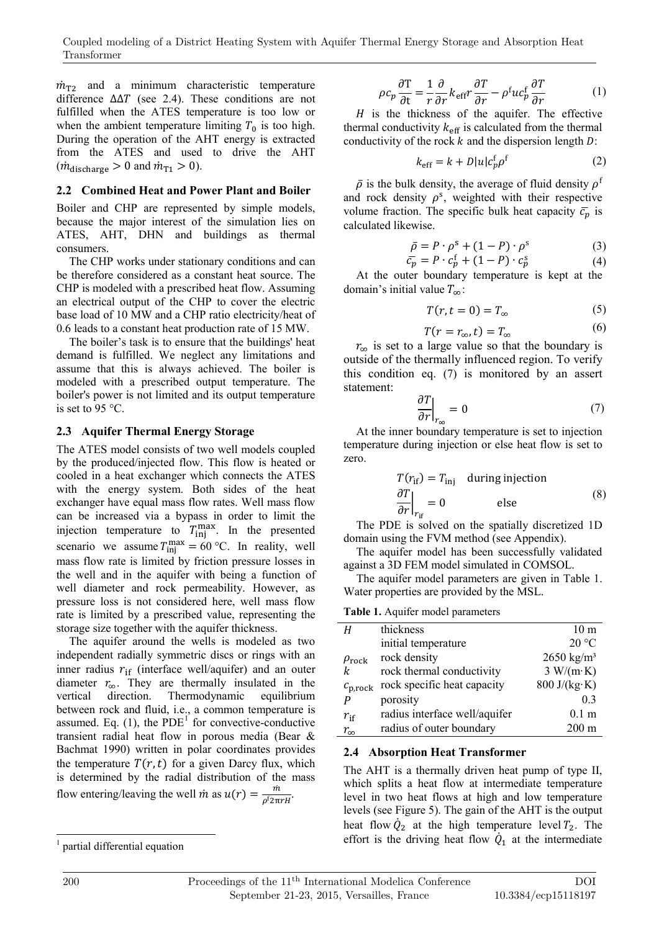$\dot{m}_{\text{T2}}$  and a minimum characteristic temperature difference  $\Delta \Delta T$  (see 2.4). These conditions are not fulfilled when the ATES temperature is too low or when the ambient temperature limiting  $T_0$  is too high. During the operation of the AHT energy is extracted from the ATES and used to drive the AHT  $(\dot{m}_{\text{discharge}} > 0 \text{ and } \dot{m}_{\text{T1}} > 0).$ 

#### **2.2 Combined Heat and Power Plant and Boiler**

Boiler and CHP are represented by simple models, because the major interest of the simulation lies on ATES, AHT, DHN and buildings as thermal consumers.

The CHP works under stationary conditions and can be therefore considered as a constant heat source. The CHP is modeled with a prescribed heat flow. Assuming an electrical output of the CHP to cover the electric base load of 10 MW and a CHP ratio electricity/heat of 0.6 leads to a constant heat production rate of 15 MW.

The boiler's task is to ensure that the buildings' heat demand is fulfilled. We neglect any limitations and assume that this is always achieved. The boiler is modeled with a prescribed output temperature. The boiler's power is not limited and its output temperature is set to 95 °C.

#### **2.3 Aquifer Thermal Energy Storage**

The ATES model consists of two well models coupled by the produced/injected flow. This flow is heated or cooled in a heat exchanger which connects the ATES with the energy system. Both sides of the heat exchanger have equal mass flow rates. Well mass flow can be increased via a bypass in order to limit the injection temperature to  $T_{\text{inj}}^{\text{max}}$ . In the presented scenario we assume  $T_{\text{inj}}^{\text{max}} = 60 \degree \text{C}$ . In reality, well mass flow rate is limited by friction pressure losses in the well and in the aquifer with being a function of well diameter and rock permeability. However, as pressure loss is not considered here, well mass flow rate is limited by a prescribed value, representing the storage size together with the aquifer thickness.

The aquifer around the wells is modeled as two independent radially symmetric discs or rings with an inner radius  $r_{\text{if}}$  (interface well/aquifer) and an outer diameter  $r_{\infty}$ . They are thermally insulated in the vertical direction. Thermodynamic equilibrium Thermodynamic between rock and fluid, i.e., a common temperature is assumed. Eq. (1), the  $PDE<sup>T</sup>$  for convective-conductive transient radial heat flow in porous media (Bear & Bachmat 1990) written in polar coordinates provides the temperature  $T(r,t)$  for a given Darcy flux, which is determined by the radial distribution of the mass flow entering/leaving the well  $\dot{m}$  as  $u(r) = \frac{m}{\rho^f 2\pi rH}$ .

$$
\rho c_p \frac{\partial T}{\partial t} = \frac{1}{r} \frac{\partial}{\partial r} k_{\text{eff}} r \frac{\partial T}{\partial r} - \rho^{\text{f}} u c_p^{\text{f}} \frac{\partial T}{\partial r}
$$
(1)

 $H$  is the thickness of the aquifer. The effective thermal conductivity  $k_{\text{eff}}$  is calculated from the thermal conductivity of the rock  $k$  and the dispersion length  $D$ :

$$
k_{\rm eff} = k + D|u|c_p^{\rm f} \rho^{\rm f} \tag{2}
$$

 $\bar{\rho}$  is the bulk density, the average of fluid density  $\rho^{\dagger}$ and rock density  $\rho^s$ , weighted with their respective volume fraction. The specific bulk heat capacity  $\bar{c}_p$  is calculated likewise.

$$
\bar{\rho} = P \cdot \rho^s + (1 - P) \cdot \rho^s \tag{3}
$$

$$
\overline{c_p} = P \cdot c_p^f + (1 - P) \cdot c_p^s \tag{4}
$$

At the outer boundary temperature is kept at the domain's initial value  $T_{\infty}$ :

$$
T(r, t = 0) = T_{\infty} \tag{5}
$$

$$
T(r = r_{\infty}, t) = T_{\infty} \tag{6}
$$

 $r_{\infty}$  is set to a large value so that the boundary is outside of the thermally influenced region. To verify this condition eq. (7) is monitored by an assert statement:

$$
\left. \frac{\partial T}{\partial r} \right|_{r_{\infty}} = 0 \tag{7}
$$

At the inner boundary temperature is set to injection temperature during injection or else heat flow is set to zero.

$$
T(r_{\text{if}}) = T_{\text{inj}} \quad \text{during injection} \n\frac{\partial T}{\partial r}\Big|_{r_{\text{if}}} = 0 \quad \text{else}
$$
\n(8)

The PDE is solved on the spatially discretized 1D domain using the FVM method (see Appendix).

The aquifer model has been successfully validated against a 3D FEM model simulated in COMSOL.

The aquifer model parameters are given in Table 1. Water properties are provided by the MSL.

**Table 1.** Aquifer model parameters

| Н                    | thickness                     | 10 <sub>m</sub>                     |
|----------------------|-------------------------------|-------------------------------------|
|                      | initial temperature           | $20^{\circ}$ C                      |
| $\rho_{\text{rock}}$ | rock density                  | $2650 \text{ kg/m}^3$               |
| k                    | rock thermal conductivity     | $3 W/(m \cdot K)$                   |
| $c_{p,rock}$         | rock specific heat capacity   | $800 \text{ J/(kg} \cdot \text{K)}$ |
| P                    | porosity                      | 0 <sub>3</sub>                      |
| $r_{\rm if}$         | radius interface well/aquifer | 0.1 <sub>m</sub>                    |
| $r_{\infty}$         | radius of outer boundary      | $200 \text{ m}$                     |
|                      |                               |                                     |

#### **2.4 Absorption Heat Transformer**

The AHT is a thermally driven heat pump of type II, which splits a heat flow at intermediate temperature level in two heat flows at high and low temperature levels (see Figure 5). The gain of the AHT is the output heat flow  $\dot{Q}_2$  at the high temperature level  $T_2$ . The effort is the driving heat flow  $\dot{Q}_1$  at the intermediate

<sup>-</sup>1 partial differential equation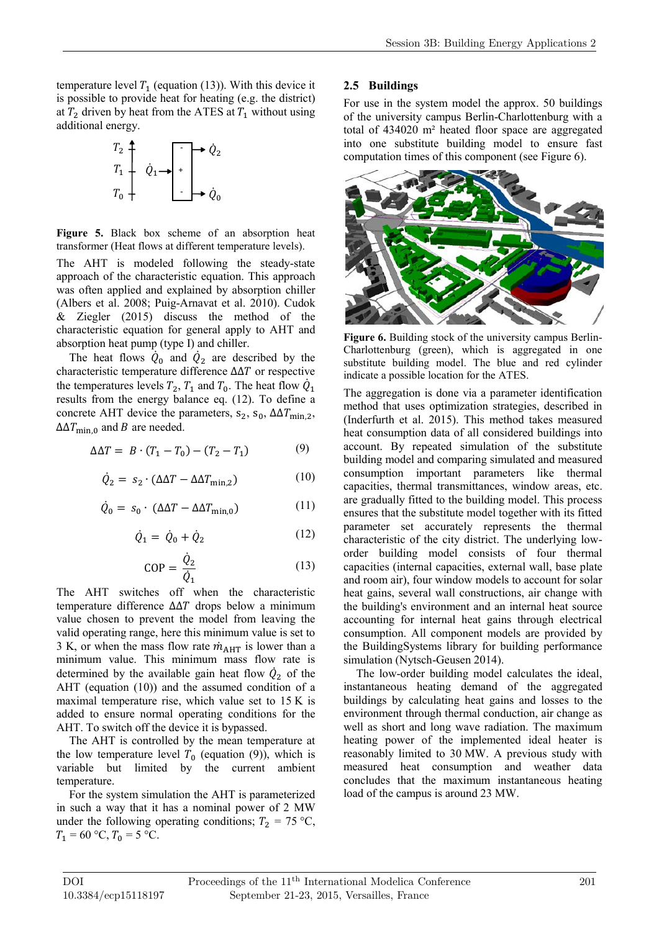temperature level  $T_1$  (equation (13)). With this device it is possible to provide heat for heating (e.g. the district) at  $T_2$  driven by heat from the ATES at  $T_1$  without using additional energy.

$$
\begin{array}{ccc}\nT_2 & \uparrow & & \downarrow & \downarrow \\
T_1 & \downarrow & & \downarrow & \downarrow \\
T_0 & \downarrow & & \downarrow & \downarrow \\
\end{array}
$$

**Figure 5.** Black box scheme of an absorption heat transformer (Heat flows at different temperature levels).

The AHT is modeled following the steady-state approach of the characteristic equation. This approach was often applied and explained by absorption chiller (Albers et al. 2008; Puig-Arnavat et al. 2010). Cudok & Ziegler (2015) discuss the method of the characteristic equation for general apply to AHT and absorption heat pump (type I) and chiller.

The heat flows  $Q_0$  and  $Q_2$  are described by the characteristic temperature difference  $\Delta\Delta T$  or respective the temperatures levels  $T_2$ ,  $T_1$  and  $T_0$ . The heat flow  $Q_1$ results from the energy balance eq. (12). To define a concrete AHT device the parameters,  $s_2$ ,  $s_0$ ,  $\Delta\Delta T_{\text{min},2}$ ,  $\Delta\Delta T_{\text{min.0}}$  and B are needed.

$$
\Delta \Delta T = B \cdot (T_1 - T_0) - (T_2 - T_1) \tag{9}
$$

$$
\dot{Q}_2 = s_2 \cdot (\Delta \Delta T - \Delta \Delta T_{\text{min},2}) \tag{10}
$$

$$
\dot{Q}_0 = s_0 \cdot (\Delta \Delta T - \Delta \Delta T_{\text{min},0}) \tag{11}
$$

$$
\dot{Q}_1 = \dot{Q}_0 + \dot{Q}_2 \tag{12}
$$

$$
COP = \frac{\dot{Q}_2}{\dot{Q}_1} \tag{13}
$$

The AHT switches off when the characteristic temperature difference  $ΔΔT$  drops below a minimum value chosen to prevent the model from leaving the valid operating range, here this minimum value is set to 3 K, or when the mass flow rate  $\dot{m}_{\text{AHT}}$  is lower than a minimum value. This minimum mass flow rate is determined by the available gain heat flow  $Q_2$  of the AHT (equation (10)) and the assumed condition of a maximal temperature rise, which value set to 15 K is added to ensure normal operating conditions for the AHT. To switch off the device it is bypassed.

The AHT is controlled by the mean temperature at the low temperature level  $T_0$  (equation (9)), which is variable but limited by the current ambient temperature.

For the system simulation the AHT is parameterized in such a way that it has a nominal power of 2 MW under the following operating conditions;  $T_2 = 75 \text{ °C}$ ,  $T_1 = 60 \text{ °C}, T_0 = 5 \text{ °C}.$ 

#### **2.5 Buildings**

For use in the system model the approx. 50 buildings of the university campus Berlin-Charlottenburg with a total of 434020 m² heated floor space are aggregated into one substitute building model to ensure fast computation times of this component (see Figure 6).



Figure 6. Building stock of the university campus Berlin-Charlottenburg (green), which is aggregated in one substitute building model. The blue and red cylinder indicate a possible location for the ATES.

The aggregation is done via a parameter identification method that uses optimization strategies, described in (Inderfurth et al. 2015). This method takes measured heat consumption data of all considered buildings into account. By repeated simulation of the substitute building model and comparing simulated and measured consumption important parameters like thermal capacities, thermal transmittances, window areas, etc. are gradually fitted to the building model. This process ensures that the substitute model together with its fitted parameter set accurately represents the thermal characteristic of the city district. The underlying loworder building model consists of four thermal capacities (internal capacities, external wall, base plate and room air), four window models to account for solar heat gains, several wall constructions, air change with the building's environment and an internal heat source accounting for internal heat gains through electrical consumption. All component models are provided by the BuildingSystems library for building performance simulation (Nytsch-Geusen 2014).

The low-order building model calculates the ideal, instantaneous heating demand of the aggregated buildings by calculating heat gains and losses to the environment through thermal conduction, air change as well as short and long wave radiation. The maximum heating power of the implemented ideal heater is reasonably limited to 30 MW. A previous study with measured heat consumption and weather data concludes that the maximum instantaneous heating load of the campus is around 23 MW.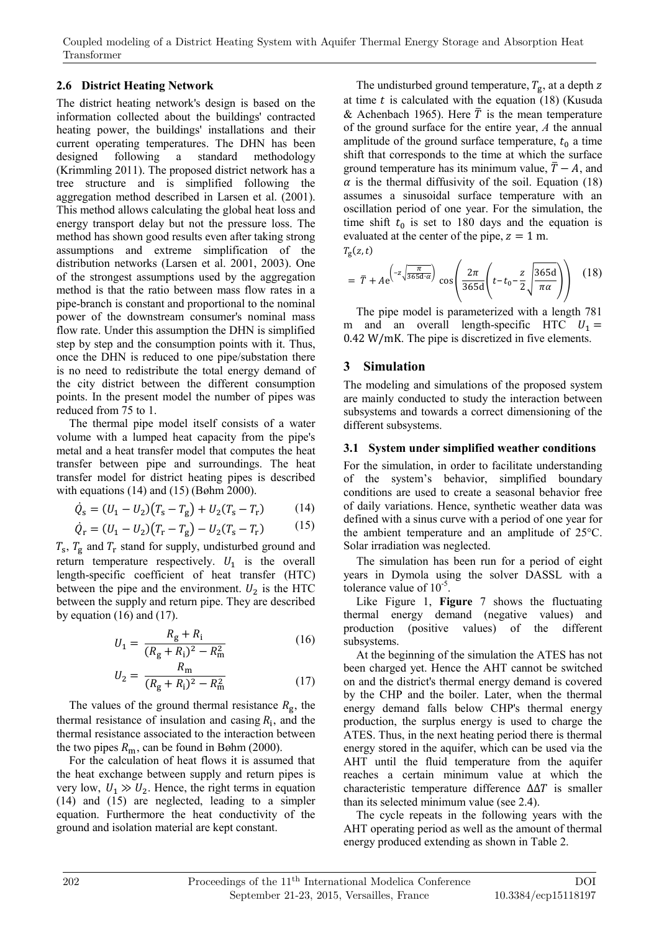## **2.6 District Heating Network**

The district heating network's design is based on the information collected about the buildings' contracted heating power, the buildings' installations and their current operating temperatures. The DHN has been designed following a standard methodology (Krimmling 2011). The proposed district network has a tree structure and is simplified following the aggregation method described in Larsen et al. (2001). This method allows calculating the global heat loss and energy transport delay but not the pressure loss. The method has shown good results even after taking strong assumptions and extreme simplification of the distribution networks (Larsen et al. 2001, 2003). One of the strongest assumptions used by the aggregation method is that the ratio between mass flow rates in a pipe-branch is constant and proportional to the nominal power of the downstream consumer's nominal mass flow rate. Under this assumption the DHN is simplified step by step and the consumption points with it. Thus, once the DHN is reduced to one pipe/substation there is no need to redistribute the total energy demand of the city district between the different consumption points. In the present model the number of pipes was reduced from 75 to 1.

The thermal pipe model itself consists of a water volume with a lumped heat capacity from the pipe's metal and a heat transfer model that computes the heat transfer between pipe and surroundings. The heat transfer model for district heating pipes is described with equations (14) and (15) (Bøhm 2000).

$$
\dot{Q}_{s} = (U_{1} - U_{2})(T_{s} - T_{g}) + U_{2}(T_{s} - T_{r})
$$
 (14)

$$
\dot{Q}_{\rm r} = (U_1 - U_2)(T_{\rm r} - T_{\rm g}) - U_2(T_{\rm s} - T_{\rm r}) \tag{15}
$$

 $T_s$ ,  $T_g$  and  $T_r$  stand for supply, undisturbed ground and return temperature respectively.  $U_1$  is the overall length-specific coefficient of heat transfer (HTC) between the pipe and the environment.  $U_2$  is the HTC between the supply and return pipe. They are described by equation  $(16)$  and  $(17)$ .

$$
U_1 = \frac{R_g + R_i}{(R_g + R_i)^2 - R_m^2}
$$
 (16)

$$
U_2 = \frac{R_{\rm m}}{(R_{\rm g} + R_{\rm i})^2 - R_{\rm m}^2} \tag{17}
$$

The values of the ground thermal resistance  $R_{\rm g}$ , the thermal resistance of insulation and casing  $R_i$ , and the thermal resistance associated to the interaction between the two pipes  $R_{\rm m}$ , can be found in Bøhm (2000).

For the calculation of heat flows it is assumed that the heat exchange between supply and return pipes is very low,  $U_1 \gg U_2$ . Hence, the right terms in equation (14) and (15) are neglected, leading to a simpler equation. Furthermore the heat conductivity of the ground and isolation material are kept constant.

The undisturbed ground temperature,  $T_g$ , at a depth z at time  $t$  is calculated with the equation (18) (Kusuda & Achenbach 1965). Here  $\overline{T}$  is the mean temperature of the ground surface for the entire year, *A* the annual amplitude of the ground surface temperature,  $t_0$  a time shift that corresponds to the time at which the surface ground temperature has its minimum value,  $\overline{T} - A$ , and  $\alpha$  is the thermal diffusivity of the soil. Equation (18) assumes a sinusoidal surface temperature with an oscillation period of one year. For the simulation, the time shift  $t_0$  is set to 180 days and the equation is evaluated at the center of the pipe,  $z = 1$  m.  $T_{\rm g}(z,t)$ 

$$
= \overline{T} + Ae^{\left(-z\sqrt{\frac{\pi}{365d\alpha}}\right)} \cos\left(\frac{2\pi}{365d}\left(t - t_0 - \frac{z}{2}\sqrt{\frac{365d}{\pi\alpha}}\right)\right) \quad (18)
$$

The pipe model is parameterized with a length 781 m and an overall length-specific HTC  $U_1 =$ 0.42 W/mK. The pipe is discretized in five elements.

## **3 Simulation**

The modeling and simulations of the proposed system are mainly conducted to study the interaction between subsystems and towards a correct dimensioning of the different subsystems.

#### **3.1 System under simplified weather conditions**

For the simulation, in order to facilitate understanding of the system's behavior, simplified boundary conditions are used to create a seasonal behavior free of daily variations. Hence, synthetic weather data was defined with a sinus curve with a period of one year for the ambient temperature and an amplitude of 25°C. Solar irradiation was neglected.

The simulation has been run for a period of eight years in Dymola using the solver DASSL with a tolerance value of  $10^{-5}$ .

Like Figure 1, **Figure** 7 shows the fluctuating thermal energy demand (negative values) and production (positive values) of the different subsystems.

At the beginning of the simulation the ATES has not been charged yet. Hence the AHT cannot be switched on and the district's thermal energy demand is covered by the CHP and the boiler. Later, when the thermal energy demand falls below CHP's thermal energy production, the surplus energy is used to charge the ATES. Thus, in the next heating period there is thermal energy stored in the aquifer, which can be used via the AHT until the fluid temperature from the aquifer reaches a certain minimum value at which the characteristic temperature difference  $\Delta \Delta T$  is smaller than its selected minimum value (see 2.4).

The cycle repeats in the following years with the AHT operating period as well as the amount of thermal energy produced extending as shown in Table 2.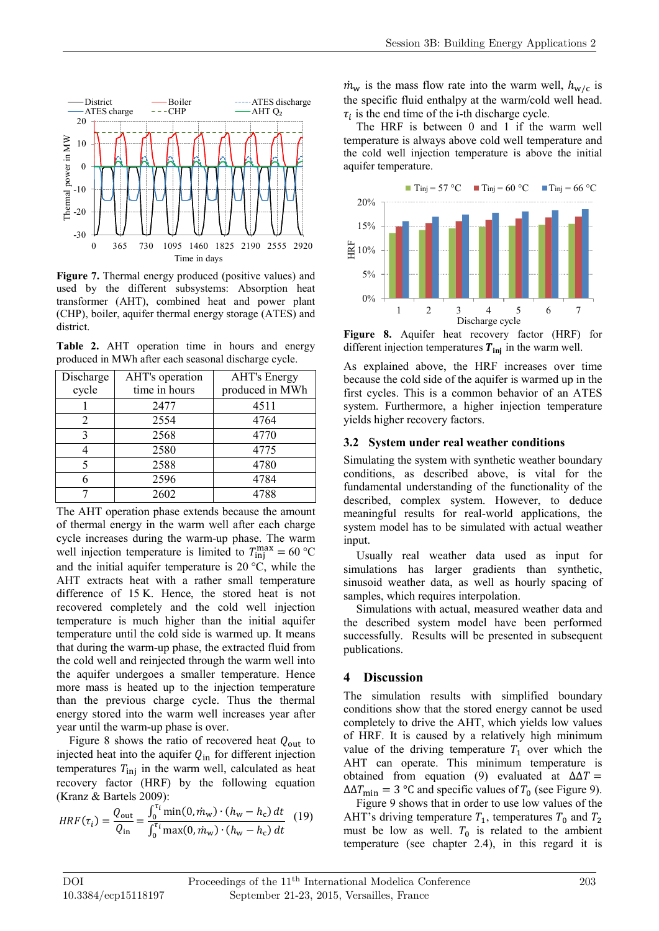

**Figure 7.** Thermal energy produced (positive values) and used by the different subsystems: Absorption heat transformer (AHT), combined heat and power plant (CHP), boiler, aquifer thermal energy storage (ATES) and district.

**Table 2.** AHT operation time in hours and energy produced in MWh after each seasonal discharge cycle.

| Discharge | AHT's operation | <b>AHT's Energy</b> |
|-----------|-----------------|---------------------|
| cycle     | time in hours   | produced in MWh     |
|           | 2477            | 4511                |
|           | 2554            | 4764                |
| 3         | 2568            | 4770                |
|           | 2580            | 4775                |
| 5         | 2588            | 4780                |
| 6         | 2596            | 4784                |
|           | 2602            | 4788                |

The AHT operation phase extends because the amount of thermal energy in the warm well after each charge cycle increases during the warm-up phase. The warm well injection temperature is limited to  $T_{\text{inj}}^{\text{max}} = 60 \degree \text{C}$ and the initial aquifer temperature is  $20^{\circ}$ C, while the AHT extracts heat with a rather small temperature difference of 15 K. Hence, the stored heat is not recovered completely and the cold well injection temperature is much higher than the initial aquifer temperature until the cold side is warmed up. It means that during the warm-up phase, the extracted fluid from the cold well and reinjected through the warm well into the aquifer undergoes a smaller temperature. Hence more mass is heated up to the injection temperature than the previous charge cycle. Thus the thermal energy stored into the warm well increases year after year until the warm-up phase is over.

Figure 8 shows the ratio of recovered heat  $Q_{\text{out}}$  to injected heat into the aquifer  $Q_{\text{in}}$  for different injection temperatures  $T_{\text{inj}}$  in the warm well, calculated as heat recovery factor (HRF) by the following equation (Kranz & Bartels 2009):

$$
HRF(\tau_i) = \frac{Q_{\text{out}}}{Q_{\text{in}}} = \frac{\int_0^{\tau_i} \min(0, m_{\text{w}}) \cdot (h_{\text{w}} - h_{\text{c}}) dt}{\int_0^{\tau_i} \max(0, m_{\text{w}}) \cdot (h_{\text{w}} - h_{\text{c}}) dt}
$$
(19)

 $\dot{m}_{\rm w}$  is the mass flow rate into the warm well,  $h_{\rm w/c}$  is the specific fluid enthalpy at the warm/cold well head.  $\tau_i$  is the end time of the i-th discharge cycle.

The HRF is between 0 and 1 if the warm well temperature is always above cold well temperature and the cold well injection temperature is above the initial aquifer temperature.



**Figure 8.** Aquifer heat recovery factor (HRF) for different injection temperatures  $T_{\text{ini}}$  in the warm well.

As explained above, the HRF increases over time because the cold side of the aquifer is warmed up in the first cycles. This is a common behavior of an ATES system. Furthermore, a higher injection temperature yields higher recovery factors.

#### **3.2 System under real weather conditions**

Simulating the system with synthetic weather boundary conditions, as described above, is vital for the fundamental understanding of the functionality of the described, complex system. However, to deduce meaningful results for real-world applications, the system model has to be simulated with actual weather input.

Usually real weather data used as input for simulations has larger gradients than synthetic, sinusoid weather data, as well as hourly spacing of samples, which requires interpolation.

Simulations with actual, measured weather data and the described system model have been performed successfully. Results will be presented in subsequent publications.

## **4 Discussion**

The simulation results with simplified boundary conditions show that the stored energy cannot be used completely to drive the AHT, which yields low values of HRF. It is caused by a relatively high minimum value of the driving temperature  $T_1$  over which the AHT can operate. This minimum temperature is obtained from equation (9) evaluated at  $\Delta \Delta T =$  $\Delta\Delta T_{\text{min}} = 3$  °C and specific values of T<sub>0</sub> (see Figure 9).

Figure 9 shows that in order to use low values of the AHT's driving temperature  $T_1$ , temperatures  $T_0$  and  $T_2$ must be low as well.  $T_0$  is related to the ambient temperature (see chapter 2.4), in this regard it is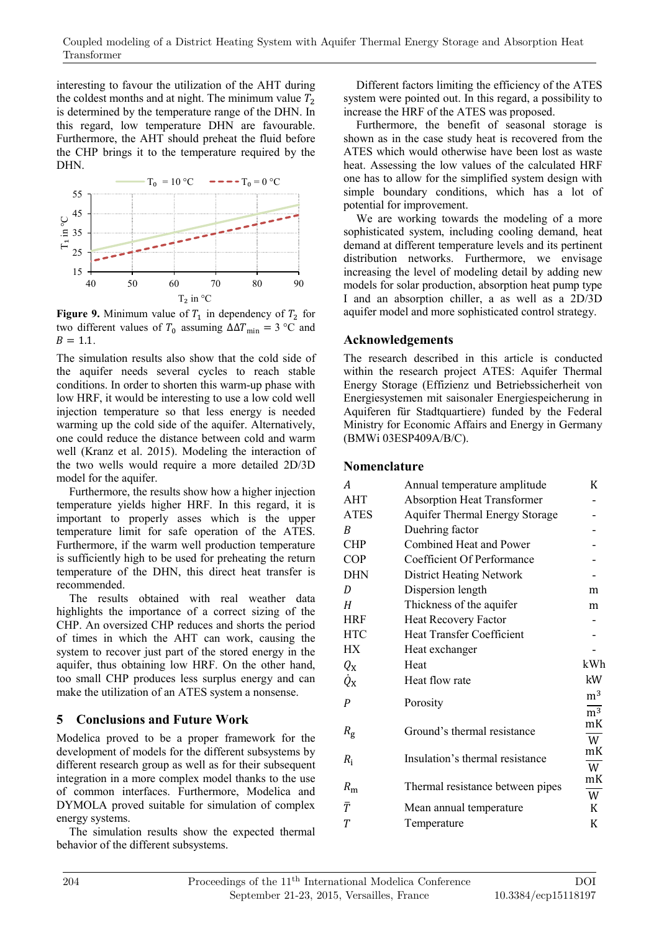interesting to favour the utilization of the AHT during the coldest months and at night. The minimum value  $T<sub>2</sub>$ is determined by the temperature range of the DHN. In this regard, low temperature DHN are favourable. Furthermore, the AHT should preheat the fluid before the CHP brings it to the temperature required by the DHN.



**Figure 9.** Minimum value of  $T_1$  in dependency of  $T_2$  for two different values of  $T_0$  assuming  $\Delta \Delta T_{\text{min}} = 3 \degree C$  and  $B = 1.1.$ 

The simulation results also show that the cold side of the aquifer needs several cycles to reach stable conditions. In order to shorten this warm-up phase with low HRF, it would be interesting to use a low cold well injection temperature so that less energy is needed warming up the cold side of the aquifer. Alternatively, one could reduce the distance between cold and warm well (Kranz et al. 2015). Modeling the interaction of the two wells would require a more detailed 2D/3D model for the aquifer.

Furthermore, the results show how a higher injection temperature yields higher HRF. In this regard, it is important to properly asses which is the upper temperature limit for safe operation of the ATES. Furthermore, if the warm well production temperature is sufficiently high to be used for preheating the return temperature of the DHN, this direct heat transfer is recommended.

The results obtained with real weather data highlights the importance of a correct sizing of the CHP. An oversized CHP reduces and shorts the period of times in which the AHT can work, causing the system to recover just part of the stored energy in the aquifer, thus obtaining low HRF. On the other hand, too small CHP produces less surplus energy and can make the utilization of an ATES system a nonsense.

# **5 Conclusions and Future Work**

Modelica proved to be a proper framework for the development of models for the different subsystems by different research group as well as for their subsequent integration in a more complex model thanks to the use of common interfaces. Furthermore, Modelica and DYMOLA proved suitable for simulation of complex energy systems.

The simulation results show the expected thermal behavior of the different subsystems.

Different factors limiting the efficiency of the ATES system were pointed out. In this regard, a possibility to increase the HRF of the ATES was proposed.

Furthermore, the benefit of seasonal storage is shown as in the case study heat is recovered from the ATES which would otherwise have been lost as waste heat. Assessing the low values of the calculated HRF one has to allow for the simplified system design with simple boundary conditions, which has a lot of potential for improvement.

We are working towards the modeling of a more sophisticated system, including cooling demand, heat demand at different temperature levels and its pertinent distribution networks. Furthermore, we envisage increasing the level of modeling detail by adding new models for solar production, absorption heat pump type I and an absorption chiller, a as well as a 2D/3D aquifer model and more sophisticated control strategy.

## **Acknowledgements**

The research described in this article is conducted within the research project ATES: Aquifer Thermal Energy Storage (Effizienz und Betriebssicherheit von Energiesystemen mit saisonaler Energiespeicherung in Aquiferen für Stadtquartiere) funded by the Federal Ministry for Economic Affairs and Energy in Germany (BMWi 03ESP409A/B/C).

## **Nomenclature**

| A           | Annual temperature amplitude          | K                                  |
|-------------|---------------------------------------|------------------------------------|
| <b>AHT</b>  | <b>Absorption Heat Transformer</b>    |                                    |
|             |                                       |                                    |
| <b>ATES</b> | <b>Aquifer Thermal Energy Storage</b> |                                    |
| B           | Duehring factor                       |                                    |
| <b>CHP</b>  | Combined Heat and Power               |                                    |
| <b>COP</b>  | Coefficient Of Performance            |                                    |
| <b>DHN</b>  | <b>District Heating Network</b>       |                                    |
| D           | Dispersion length                     | m                                  |
| H           | Thickness of the aquifer              | m                                  |
| <b>HRF</b>  | <b>Heat Recovery Factor</b>           |                                    |
| <b>HTC</b>  | Heat Transfer Coefficient             |                                    |
| <b>HX</b>   | Heat exchanger                        |                                    |
| $Q_{\rm X}$ | Heat                                  | kWh                                |
| Qх          | Heat flow rate                        | kW                                 |
| P           | Porosity                              | m <sup>3</sup><br>$\overline{m^3}$ |
| $R_{\rm g}$ | Ground's thermal resistance           | mK<br>$\overline{W}$               |
| $R_i$       | Insulation's thermal resistance       | mK<br>W                            |
| $R_{\rm m}$ | Thermal resistance between pipes      | mK<br>W                            |
| $\bar{T}$   | Mean annual temperature               | K                                  |
| Т           | Temperature                           | K                                  |
|             |                                       |                                    |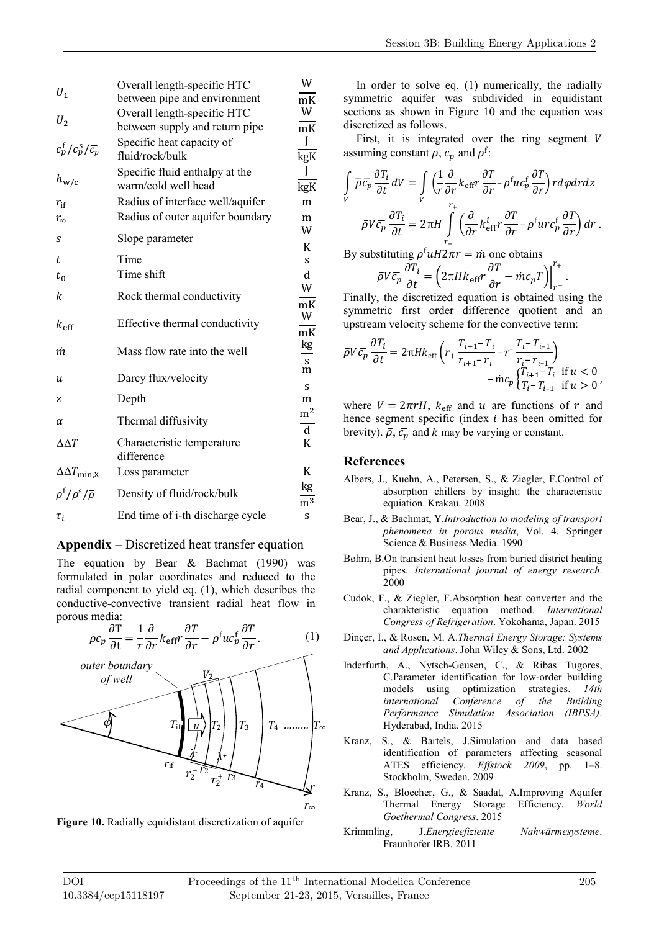| $U_1$                                       | Overall length-specific HTC<br>between pipe and environment   | W<br>mK        |
|---------------------------------------------|---------------------------------------------------------------|----------------|
| $U_2$                                       | Overall length-specific HTC<br>between supply and return pipe | W<br>mK        |
| $c_p^f/c_p^s/\bar{c_p}$                     | Specific heat capacity of<br>fluid/rock/bulk                  | J<br>kgK       |
| $h_{\mathrm{w/c}}$                          | Specific fluid enthalpy at the<br>warm/cold well head         | I<br>kgK       |
| $r_{\rm if}$                                | Radius of interface well/aquifer                              | m              |
| $r_{\infty}$                                | Radius of outer aquifer boundary                              | m              |
|                                             |                                                               | W              |
| S                                           | Slope parameter                                               | $\overline{K}$ |
| t                                           | Time                                                          | S.             |
| $t_{0}$                                     | Time shift                                                    | d              |
| k                                           | Rock thermal conductivity                                     | W              |
|                                             |                                                               | mK             |
| $k_{\text{eff}}$                            | Effective thermal conductivity                                | W              |
|                                             |                                                               | mK             |
| m                                           | Mass flow rate into the well                                  | kg             |
|                                             |                                                               | ${\bf S}$<br>m |
| и                                           | Darcy flux/velocity                                           | S              |
| z                                           | Depth                                                         | m              |
|                                             |                                                               | m <sup>2</sup> |
| $\alpha$                                    | Thermal diffusivity                                           | $\mathbf d$    |
| $\triangle\Delta T$                         | Characteristic temperature                                    | K              |
|                                             | difference                                                    |                |
| $\Delta \Delta T_{\rm min,X}$               | Loss parameter                                                | K              |
| $\rho^{\rm f}/\rho^{\rm s}/\overline{\rho}$ | Density of fluid/rock/bulk                                    | kg<br>$m^3$    |
| $\tau_i$                                    | End time of i-th discharge cycle                              | S              |

#### **Appendix –** Discretized heat transfer equation

The equation by Bear & Bachmat (1990) was formulated in polar coordinates and reduced to the radial component to yield eq. (1), which describes the conductive-convective transient radial heat flow in porous media:



**Figure 10.** Radially equidistant discretization of aquifer

In order to solve eq. (1) numerically, the radially symmetric aquifer was subdivided in equidistant sections as shown in Figure 10 and the equation was discretized as follows.

First, it is integrated over the ring segment  $V$ assuming constant  $\rho$ ,  $c_p$  and  $\rho^f$ :

$$
\int\limits_V \overline{\rho}\overline{c_p}\frac{\partial T_i}{\partial t}dV = \int\limits_V \Big(\frac{1}{r}\frac{\partial}{\partial r}k_{\mathrm{eff}}r\frac{\partial T}{\partial r} - \rho^{\mathrm{f}}uc_p^{\mathrm{f}}\frac{\partial T}{\partial r}\Big)rd\varphi drdz
$$
\n
$$
\overline{\rho}V\overline{c_p}\frac{\partial T_i}{\partial t} = 2\pi H\int\limits_{r_-}^{r_+}\Big(\frac{\partial}{\partial r}k_{\mathrm{eff}}^i r\frac{\partial T}{\partial r} - \rho^{\mathrm{f}}urc_p^{\mathrm{f}}\frac{\partial T}{\partial r}\Big)dr.
$$

By substituting  $\rho^{\text{f}} u H 2\pi r = \dot{m}$  one obtains

$$
\bar{\rho}V\bar{c}_p\frac{\partial T_i}{\partial t} = \left(2\pi Hk_{\text{eff}}r\frac{\partial T}{\partial r} - \dot{m}c_pT\right)\Big|_{r=-}^{r_+}.
$$
  
Finally, the discretized equation is obtained using the

symmetric first order difference quotient and an upstream velocity scheme for the convective term:

$$
\bar{\rho}V\bar{c}_{p}\frac{\partial T_{i}}{\partial t} = 2\pi H k_{\text{eff}} \left( r_{+} \frac{T_{i+1} - T_{i}}{r_{i+1} - r_{i}} - r_{-} \frac{T_{i} - T_{i-1}}{r_{i} - r_{i-1}} \right) - \text{inc}_{p} \frac{T_{i+1} - T_{i}}{T_{i} - T_{i-1}} \text{ if } u < 0
$$

where  $V = 2\pi rH$ ,  $k_{\text{eff}}$  and u are functions of r and hence segment specific (index  $i$  has been omitted for brevity).  $\bar{\rho}$ ,  $\bar{c}_p$  and k may be varying or constant.

#### **References**

- Albers, J., Kuehn, A., Petersen, S., & Ziegler, F.Control of absorption chillers by insight: the characteristic equiation. Krakau. 2008
- Bear, J., & Bachmat, Y.*Introduction to modeling of transport phenomena in porous media*, Vol. 4. Springer Science & Business Media. 1990
- Bøhm, B.On transient heat losses from buried district heating pipes. *International journal of energy research*. 2000
- Cudok, F., & Ziegler, F.Absorption heat converter and the charakteristic equation method. *International Congress of Refrigeration*. Yokohama, Japan. 2015
- Dinçer, I., & Rosen, M. A.*Thermal Energy Storage: Systems and Applications*. John Wiley & Sons, Ltd. 2002
- Inderfurth, A., Nytsch-Geusen, C., & Ribas Tugores, C.Parameter identification for low-order building models using optimization strategies. *14th international Conference of the Building Performance Simulation Association (IBPSA)*. Hyderabad, India. 2015
- Kranz, S., & Bartels, J.Simulation and data based identification of parameters affecting seasonal ATES efficiency. *Effstock 2009*, pp. 1–8. Stockholm, Sweden. 2009
- Kranz, S., Bloecher, G., & Saadat, A.Improving Aquifer Thermal Energy Storage *Goethermal Congress*. 2015
- Krimmling, J.*Energieefiziente Nahwärmesysteme*. Fraunhofer IRB. 2011